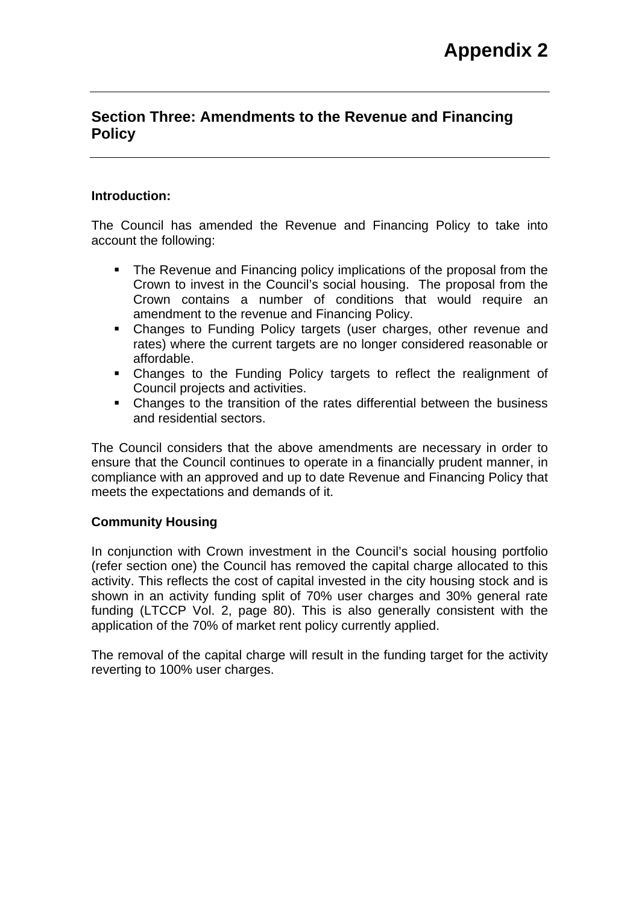# **Section Three: Amendments to the Revenue and Financing Policy**

# **Introduction:**

The Council has amended the Revenue and Financing Policy to take into account the following:

- The Revenue and Financing policy implications of the proposal from the Crown to invest in the Council's social housing. The proposal from the Crown contains a number of conditions that would require an amendment to the revenue and Financing Policy.
- Changes to Funding Policy targets (user charges, other revenue and rates) where the current targets are no longer considered reasonable or affordable.
- Changes to the Funding Policy targets to reflect the realignment of Council projects and activities.
- Changes to the transition of the rates differential between the business and residential sectors.

The Council considers that the above amendments are necessary in order to ensure that the Council continues to operate in a financially prudent manner, in compliance with an approved and up to date Revenue and Financing Policy that meets the expectations and demands of it.

# **Community Housing**

In conjunction with Crown investment in the Council's social housing portfolio (refer section one) the Council has removed the capital charge allocated to this activity. This reflects the cost of capital invested in the city housing stock and is shown in an activity funding split of 70% user charges and 30% general rate funding (LTCCP Vol. 2, page 80). This is also generally consistent with the application of the 70% of market rent policy currently applied.

The removal of the capital charge will result in the funding target for the activity reverting to 100% user charges.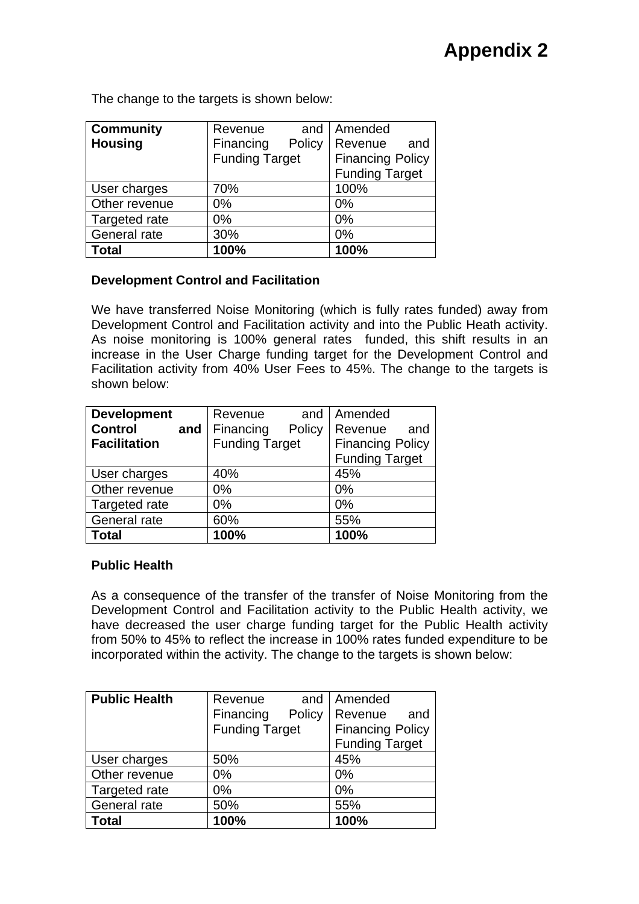**Community Housing**  Revenue and Financing Policy Funding Target Amended Revenue and Financing Policy Funding Target User charges  $\vert$  70% 100% Other revenue  $\vert 0\%$  | 0% Targeted rate 0% 0% General rate  $\vert$  30%  $\vert$  0% **Total 100% 100%** 

The change to the targets is shown below:

# **Development Control and Facilitation**

We have transferred Noise Monitoring (which is fully rates funded) away from Development Control and Facilitation activity and into the Public Heath activity. As noise monitoring is 100% general rates funded, this shift results in an increase in the User Charge funding target for the Development Control and Facilitation activity from 40% User Fees to 45%. The change to the targets is shown below:

| <b>Development</b>    | Revenue<br>and        | Amended                 |  |
|-----------------------|-----------------------|-------------------------|--|
| <b>Control</b><br>and | Financing<br>Policy   | Revenue<br>and          |  |
| <b>Facilitation</b>   | <b>Funding Target</b> | <b>Financing Policy</b> |  |
|                       |                       | <b>Funding Target</b>   |  |
| User charges          | 40%                   | 45%                     |  |
| Other revenue         | 0%                    | 0%                      |  |
| Targeted rate         | 0%                    | 0%                      |  |
| General rate          | 60%                   | 55%                     |  |
| <b>Total</b>          | 100%                  | 100%                    |  |

# **Public Health**

As a consequence of the transfer of the transfer of Noise Monitoring from the Development Control and Facilitation activity to the Public Health activity, we have decreased the user charge funding target for the Public Health activity from 50% to 45% to reflect the increase in 100% rates funded expenditure to be incorporated within the activity. The change to the targets is shown below:

| <b>Public Health</b> | Revenue<br>and        | Amended                 |  |
|----------------------|-----------------------|-------------------------|--|
|                      | Financing<br>Policy   | Revenue<br>and          |  |
|                      | <b>Funding Target</b> | <b>Financing Policy</b> |  |
|                      |                       | <b>Funding Target</b>   |  |
| User charges         | 50%                   | 45%                     |  |
| Other revenue        | 0%                    | 0%                      |  |
| Targeted rate        | 0%                    | 0%                      |  |
| General rate         | 50%                   | 55%                     |  |
| Total                | 100%                  | 100%                    |  |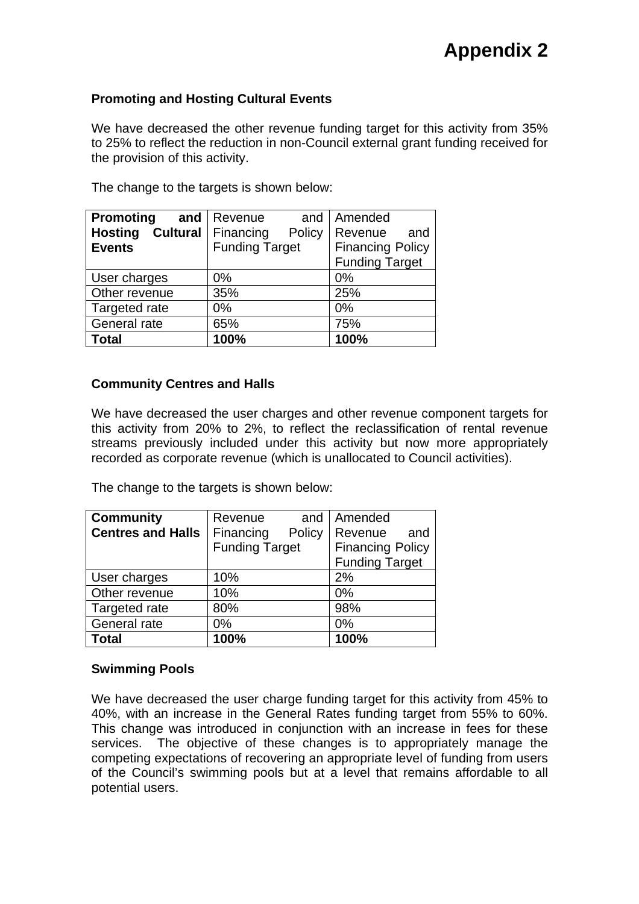# **Promoting and Hosting Cultural Events**

We have decreased the other revenue funding target for this activity from 35% to 25% to reflect the reduction in non-Council external grant funding received for the provision of this activity.

| <b>Promoting</b>           | and   Revenue<br>and  | Amended                 |  |
|----------------------------|-----------------------|-------------------------|--|
| Cultural<br><b>Hosting</b> | Financing<br>Policy   | Revenue<br>and          |  |
| <b>Events</b>              | <b>Funding Target</b> | <b>Financing Policy</b> |  |
|                            |                       | <b>Funding Target</b>   |  |
| User charges               | 0%                    | 0%                      |  |
| Other revenue              | 35%                   | 25%                     |  |
| Targeted rate              | 0%                    | 0%                      |  |
| General rate               | 65%                   | 75%                     |  |
| <b>Total</b>               | 100%                  | 100%                    |  |

The change to the targets is shown below:

# **Community Centres and Halls**

We have decreased the user charges and other revenue component targets for this activity from 20% to 2%, to reflect the reclassification of rental revenue streams previously included under this activity but now more appropriately recorded as corporate revenue (which is unallocated to Council activities).

The change to the targets is shown below:

| <b>Community</b>         | Revenue<br>and        | Amended                 |  |
|--------------------------|-----------------------|-------------------------|--|
| <b>Centres and Halls</b> | Financing<br>Policy   | Revenue<br>and          |  |
|                          | <b>Funding Target</b> | <b>Financing Policy</b> |  |
|                          |                       | <b>Funding Target</b>   |  |
| User charges             | 10%                   | 2%                      |  |
| Other revenue            | 10%                   | 0%                      |  |
| Targeted rate            | 80%                   | 98%                     |  |
| General rate             | 0%                    | 0%                      |  |
| <b>Total</b>             | 100%                  | 100%                    |  |

# **Swimming Pools**

We have decreased the user charge funding target for this activity from 45% to 40%, with an increase in the General Rates funding target from 55% to 60%. This change was introduced in conjunction with an increase in fees for these services. The objective of these changes is to appropriately manage the competing expectations of recovering an appropriate level of funding from users of the Council's swimming pools but at a level that remains affordable to all potential users.